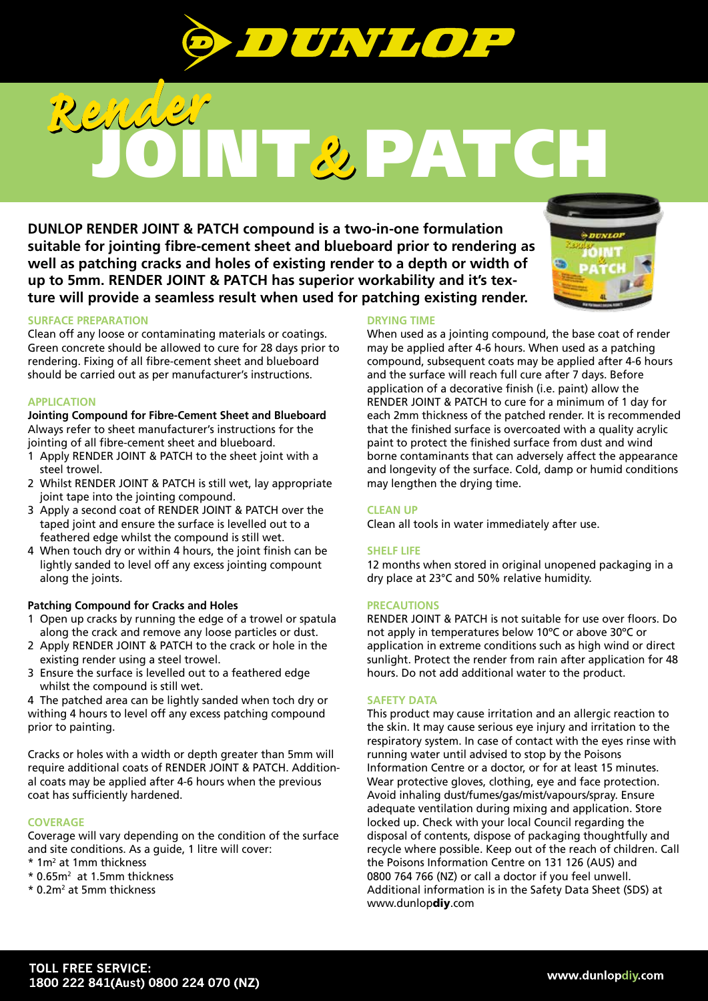

# JOINT PATCH *Render Render &*

**DUNLOP RENDER JOINT & PATCH compound is a two-in-one formulation suitable for jointing fibre-cement sheet and blueboard prior to rendering as well as patching cracks and holes of existing render to a depth or width of up to 5mm. RENDER JOINT & PATCH has superior workability and it's texture will provide a seamless result when used for patching existing render.**



## **SURFACE PREPARATION**

Clean off any loose or contaminating materials or coatings. Green concrete should be allowed to cure for 28 days prior to rendering. Fixing of all fibre-cement sheet and blueboard should be carried out as per manufacturer's instructions.

#### **APPLICATION**

**Jointing Compound for Fibre-Cement Sheet and Blueboard** Always refer to sheet manufacturer's instructions for the jointing of all fibre-cement sheet and blueboard.

- 1 Apply RENDER JOINT & PATCH to the sheet joint with a steel trowel.
- 2 Whilst RENDER JOINT & PATCH is still wet, lay appropriate joint tape into the jointing compound.
- 3 Apply a second coat of RENDER JOINT & PATCH over the taped joint and ensure the surface is levelled out to a feathered edge whilst the compound is still wet.
- 4 When touch dry or within 4 hours, the joint finish can be lightly sanded to level off any excess jointing compount along the joints.

### **Patching Compound for Cracks and Holes**

- 1 Open up cracks by running the edge of a trowel or spatula along the crack and remove any loose particles or dust.
- 2 Apply RENDER JOINT & PATCH to the crack or hole in the existing render using a steel trowel.
- 3 Ensure the surface is levelled out to a feathered edge whilst the compound is still wet.

4 The patched area can be lightly sanded when toch dry or withing 4 hours to level off any excess patching compound prior to painting.

Cracks or holes with a width or depth greater than 5mm will require additional coats of RENDER JOINT & PATCH. Additional coats may be applied after 4-6 hours when the previous coat has sufficiently hardened.

### **COVERAGE**

Coverage will vary depending on the condition of the surface and site conditions. As a guide, 1 litre will cover:

- \* 1m2 at 1mm thickness
- \* 0.65m2 at 1.5mm thickness
- \* 0.2m<sup>2</sup> at 5mm thickness

### **DRYING TIME**

When used as a jointing compound, the base coat of render may be applied after 4-6 hours. When used as a patching compound, subsequent coats may be applied after 4-6 hours and the surface will reach full cure after 7 days. Before application of a decorative finish (i.e. paint) allow the RENDER JOINT & PATCH to cure for a minimum of 1 day for each 2mm thickness of the patched render. It is recommended that the finished surface is overcoated with a quality acrylic paint to protect the finished surface from dust and wind borne contaminants that can adversely affect the appearance and longevity of the surface. Cold, damp or humid conditions may lengthen the drying time.

### **CLEAN UP**

Clean all tools in water immediately after use.

### **SHELF LIFE**

12 months when stored in original unopened packaging in a dry place at 23°C and 50% relative humidity.

### **PRECAUTIONS**

RENDER JOINT & PATCH is not suitable for use over floors. Do not apply in temperatures below 10ºC or above 30ºC or application in extreme conditions such as high wind or direct sunlight. Protect the render from rain after application for 48 hours. Do not add additional water to the product.

#### **SAFETY DATA**

This product may cause irritation and an allergic reaction to the skin. It may cause serious eye injury and irritation to the respiratory system. In case of contact with the eyes rinse with running water until advised to stop by the Poisons Information Centre or a doctor, or for at least 15 minutes. Wear protective gloves, clothing, eye and face protection. Avoid inhaling dust/fumes/gas/mist/vapours/spray. Ensure adequate ventilation during mixing and application. Store locked up. Check with your local Council regarding the disposal of contents, dispose of packaging thoughtfully and recycle where possible. Keep out of the reach of children. Call the Poisons Information Centre on 131 126 (AUS) and 0800 764 766 (NZ) or call a doctor if you feel unwell. Additional information is in the Safety Data Sheet (SDS) at www.dunlopdiy.com